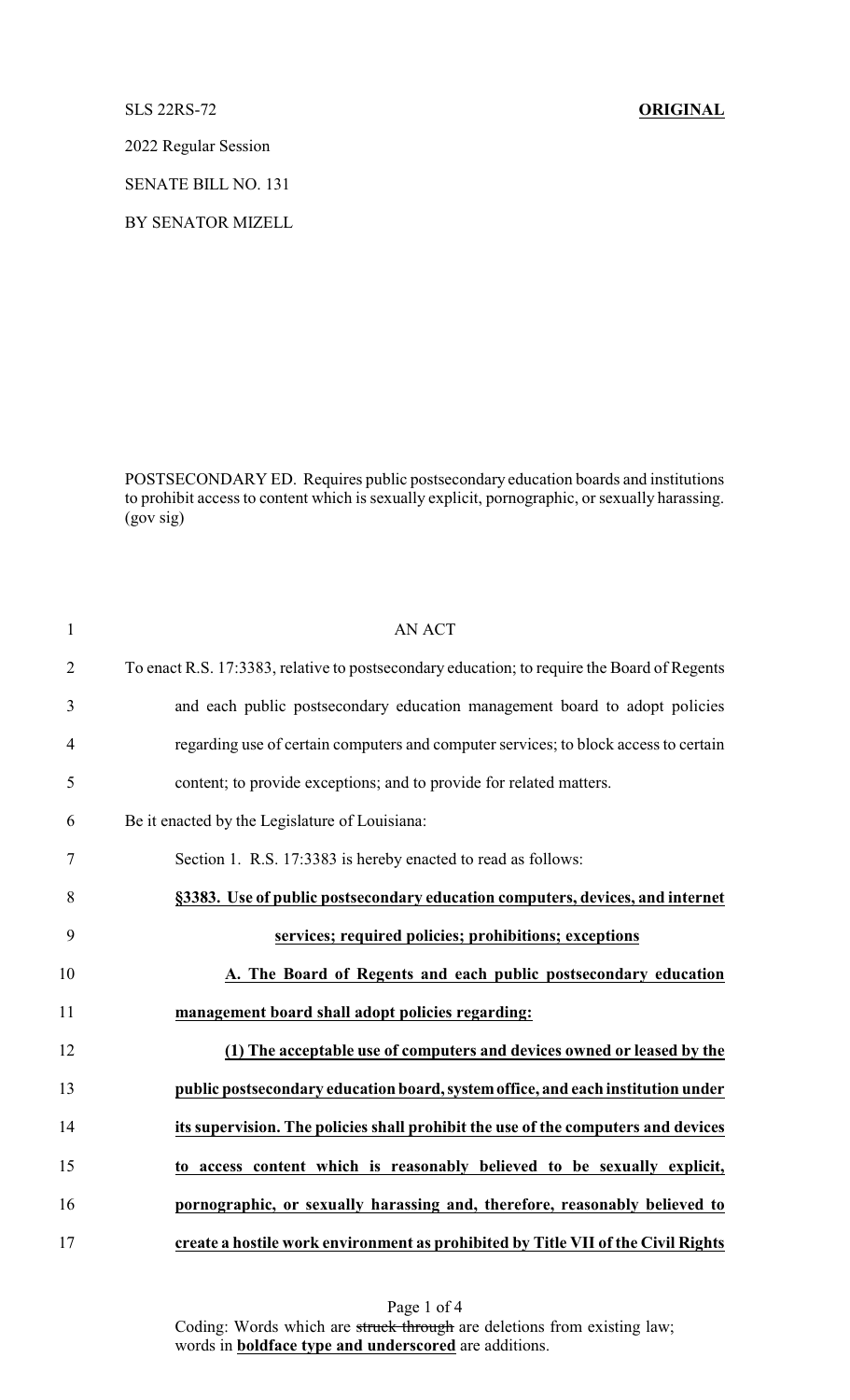SLS 22RS-72 **ORIGINAL**

2022 Regular Session

SENATE BILL NO. 131

BY SENATOR MIZELL

POSTSECONDARY ED. Requires public postsecondary education boards and institutions to prohibit access to content which is sexually explicit, pornographic, or sexually harassing. (gov sig)

| $\mathbf{1}$   | <b>AN ACT</b>                                                                               |
|----------------|---------------------------------------------------------------------------------------------|
| $\overline{2}$ | To enact R.S. 17:3383, relative to postsecondary education; to require the Board of Regents |
| 3              | and each public postsecondary education management board to adopt policies                  |
| $\overline{4}$ | regarding use of certain computers and computer services; to block access to certain        |
| 5              | content; to provide exceptions; and to provide for related matters.                         |
| 6              | Be it enacted by the Legislature of Louisiana:                                              |
| 7              | Section 1. R.S. 17:3383 is hereby enacted to read as follows:                               |
| 8              | §3383. Use of public postsecondary education computers, devices, and internet               |
| 9              | services; required policies; prohibitions; exceptions                                       |
| 10             | A. The Board of Regents and each public postsecondary education                             |
| 11             | management board shall adopt policies regarding:                                            |
| 12             | (1) The acceptable use of computers and devices owned or leased by the                      |
| 13             | public postsecondary education board, system office, and each institution under             |
| 14             | its supervision. The policies shall prohibit the use of the computers and devices           |
| 15             | to access content which is reasonably believed to be sexually explicit,                     |
| 16             | pornographic, or sexually harassing and, therefore, reasonably believed to                  |
| 17             | create a hostile work environment as prohibited by Title VII of the Civil Rights            |

Page 1 of 4 Coding: Words which are struck through are deletions from existing law; words in **boldface type and underscored** are additions.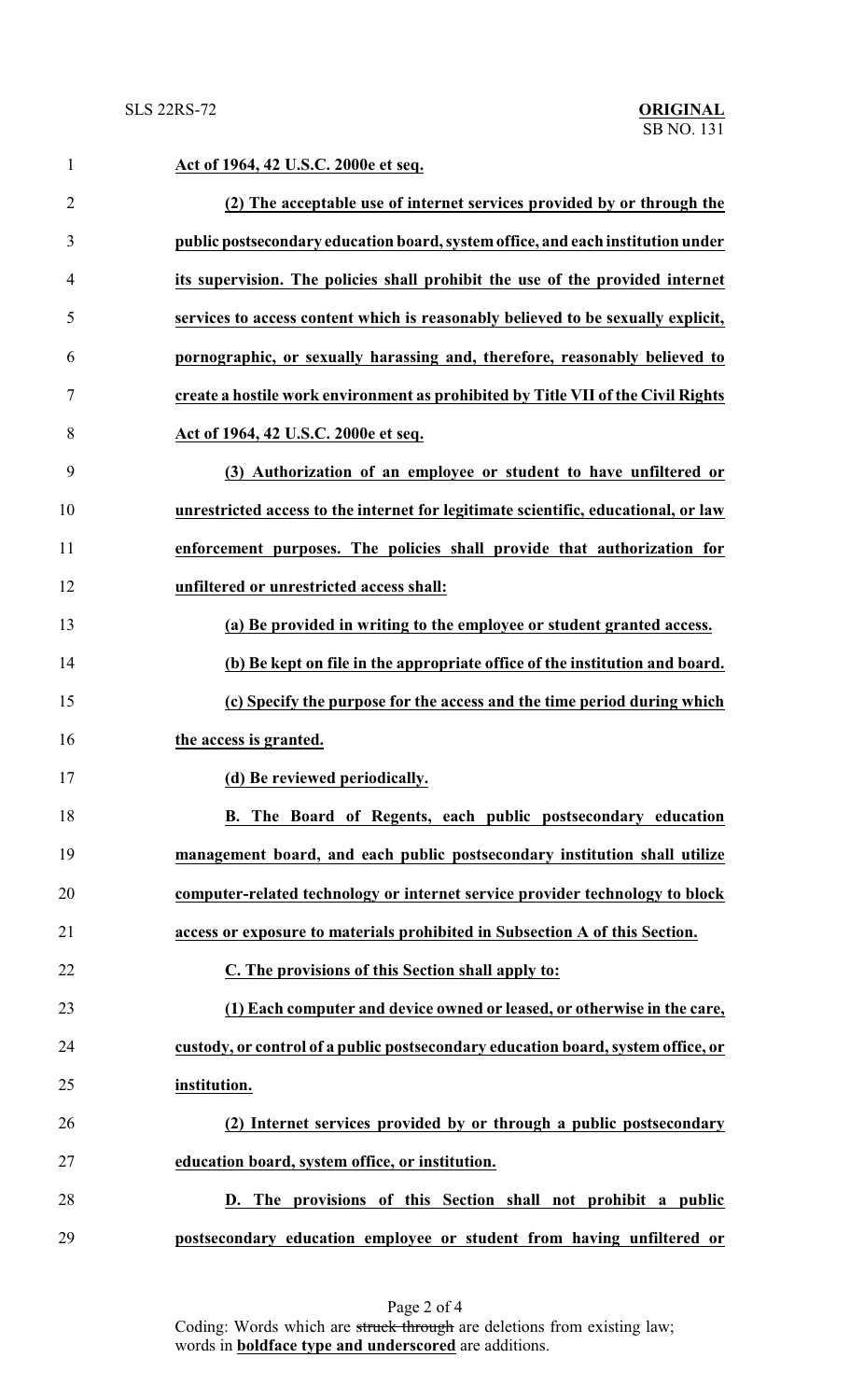| $\mathbf{1}$   | Act of 1964, 42 U.S.C. 2000e et seq.                                               |
|----------------|------------------------------------------------------------------------------------|
| $\overline{2}$ | (2) The acceptable use of internet services provided by or through the             |
| 3              | public postsecondary education board, system office, and each institution under    |
| 4              | its supervision. The policies shall prohibit the use of the provided internet      |
| 5              | services to access content which is reasonably believed to be sexually explicit,   |
| 6              | pornographic, or sexually harassing and, therefore, reasonably believed to         |
| 7              | create a hostile work environment as prohibited by Title VII of the Civil Rights   |
| 8              | Act of 1964, 42 U.S.C. 2000e et seq.                                               |
| 9              | (3) Authorization of an employee or student to have unfiltered or                  |
| 10             | unrestricted access to the internet for legitimate scientific, educational, or law |
| 11             | enforcement purposes. The policies shall provide that authorization for            |
| 12             | unfiltered or unrestricted access shall:                                           |
| 13             | (a) Be provided in writing to the employee or student granted access.              |
| 14             | (b) Be kept on file in the appropriate office of the institution and board.        |
| 15             | (c) Specify the purpose for the access and the time period during which            |
| 16             | the access is granted.                                                             |
| 17             | (d) Be reviewed periodically.                                                      |
| 18             | B. The Board of Regents, each public postsecondary education                       |
| 19             | management board, and each public postsecondary institution shall utilize          |
| 20             | computer-related technology or internet service provider technology to block       |
| 21             | access or exposure to materials prohibited in Subsection A of this Section.        |
| 22             | C. The provisions of this Section shall apply to:                                  |
| 23             | (1) Each computer and device owned or leased, or otherwise in the care,            |
| 24             | custody, or control of a public postsecondary education board, system office, or   |
| 25             | institution.                                                                       |
| 26             | (2) Internet services provided by or through a public postsecondary                |
| 27             | education board, system office, or institution.                                    |
| 28             | D. The provisions of this Section shall not prohibit a public                      |
| 29             | postsecondary education employee or student from having unfiltered or              |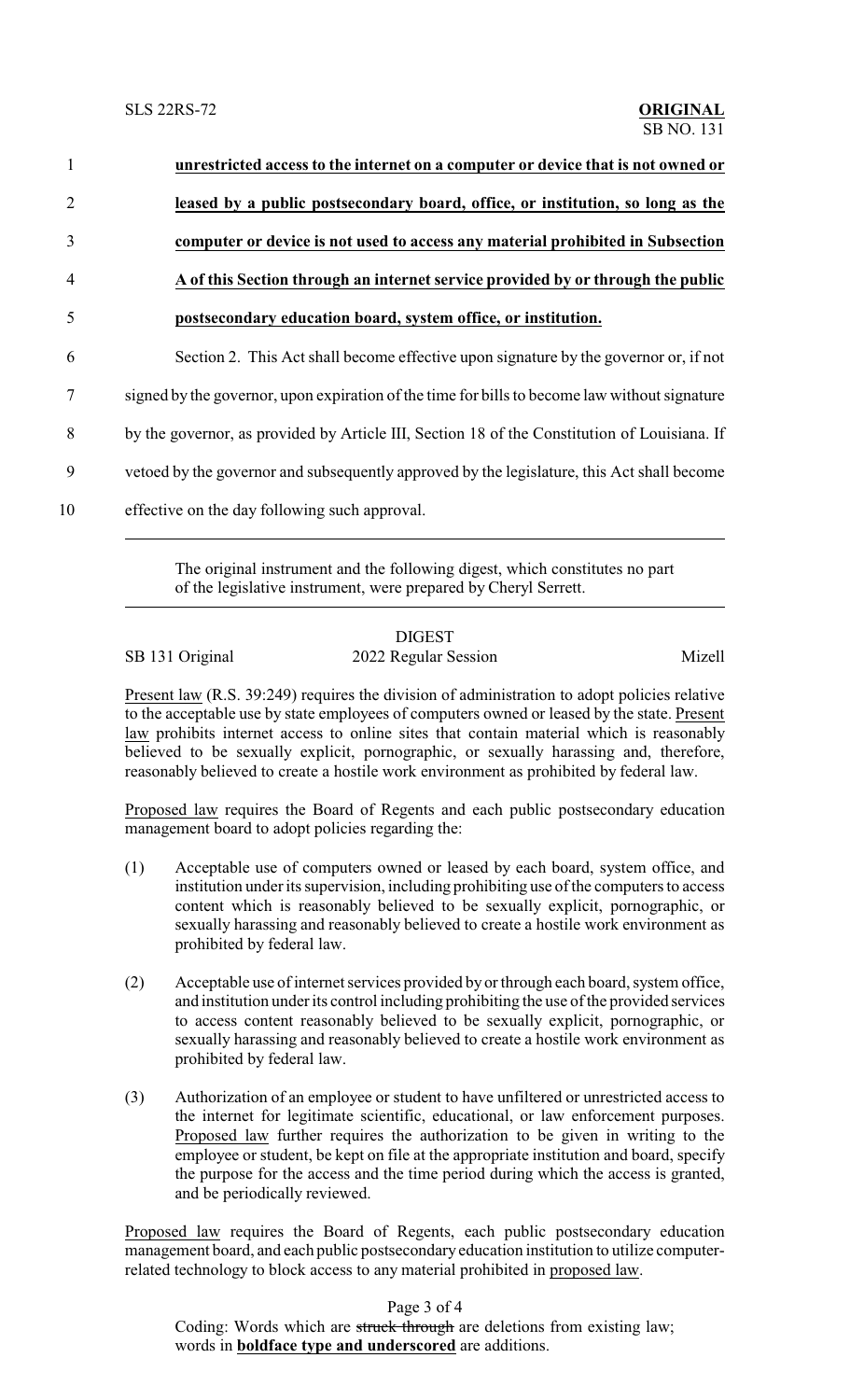| $\mathbf{1}$   | unrestricted access to the internet on a computer or device that is not owned or              |
|----------------|-----------------------------------------------------------------------------------------------|
| $\overline{2}$ | leased by a public postsecondary board, office, or institution, so long as the                |
| 3              | computer or device is not used to access any material prohibited in Subsection                |
| $\overline{4}$ | A of this Section through an internet service provided by or through the public               |
| 5              | postsecondary education board, system office, or institution.                                 |
| 6              | Section 2. This Act shall become effective upon signature by the governor or, if not          |
| 7              | signed by the governor, upon expiration of the time for bills to become law without signature |
| 8              | by the governor, as provided by Article III, Section 18 of the Constitution of Louisiana. If  |
| 9              | vetoed by the governor and subsequently approved by the legislature, this Act shall become    |
| 10             | effective on the day following such approval.                                                 |

The original instrument and the following digest, which constitutes no part of the legislative instrument, were prepared by Cheryl Serrett.

## DIGEST SB 131 Original 2022 Regular Session Mizell

Present law (R.S. 39:249) requires the division of administration to adopt policies relative to the acceptable use by state employees of computers owned or leased by the state. Present law prohibits internet access to online sites that contain material which is reasonably believed to be sexually explicit, pornographic, or sexually harassing and, therefore, reasonably believed to create a hostile work environment as prohibited by federal law.

Proposed law requires the Board of Regents and each public postsecondary education management board to adopt policies regarding the:

- (1) Acceptable use of computers owned or leased by each board, system office, and institution under its supervision, including prohibiting use of the computers to access content which is reasonably believed to be sexually explicit, pornographic, or sexually harassing and reasonably believed to create a hostile work environment as prohibited by federal law.
- (2) Acceptable use of internet services provided by or through each board, system office, and institution under its control including prohibiting the use of the provided services to access content reasonably believed to be sexually explicit, pornographic, or sexually harassing and reasonably believed to create a hostile work environment as prohibited by federal law.
- (3) Authorization of an employee or student to have unfiltered or unrestricted access to the internet for legitimate scientific, educational, or law enforcement purposes. Proposed law further requires the authorization to be given in writing to the employee or student, be kept on file at the appropriate institution and board, specify the purpose for the access and the time period during which the access is granted, and be periodically reviewed.

Proposed law requires the Board of Regents, each public postsecondary education management board, and each public postsecondary education institution to utilize computerrelated technology to block access to any material prohibited in proposed law.

Page 3 of 4

Coding: Words which are struck through are deletions from existing law; words in **boldface type and underscored** are additions.